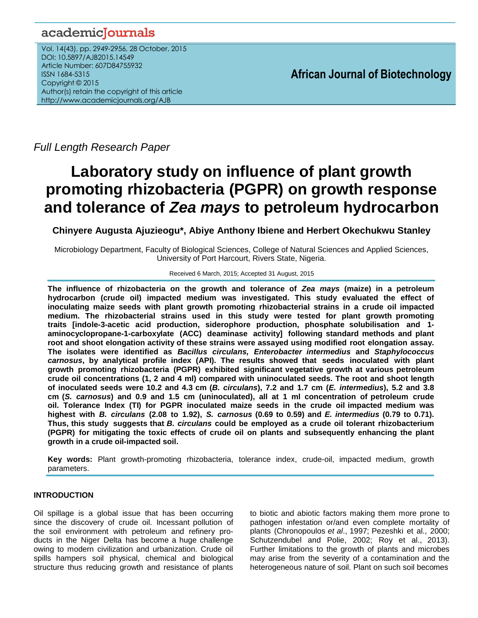# academicJournals

Vol. 14(43), pp. 2949-2956, 28 October, 2015 DOI: 10.5897/AJB2015.14549 Article Number: 607D84755932 ISSN 1684-5315 Copyright © 2015 Author(s) retain the copyright of this article <http://www.academicjournals.org/AJB>

**African Journal of Biotechnology**

*Full Length Research Paper*

# **Laboratory study on influence of plant growth promoting rhizobacteria (PGPR) on growth response and tolerance of** *Zea mays* **to petroleum hydrocarbon**

**Chinyere Augusta Ajuzieogu\*, Abiye Anthony Ibiene and Herbert Okechukwu Stanley**

Microbiology Department, Faculty of Biological Sciences, College of Natural Sciences and Applied Sciences, University of Port Harcourt, Rivers State, Nigeria.

#### Received 6 March, 2015; Accepted 31 August, 2015

**The influence of rhizobacteria on the growth and tolerance of** *Zea mays* **(maize) in a petroleum hydrocarbon (crude oil) impacted medium was investigated. This study evaluated the effect of inoculating maize seeds with plant growth promoting rhizobacterial strains in a crude oil impacted medium. The rhizobacterial strains used in this study were tested for plant growth promoting traits [indole-3-acetic acid production, siderophore production, phosphate solubilisation and 1 aminocyclopropane-1-carboxylate (ACC) deaminase activity] following standard methods and plant root and shoot elongation activity of these strains were assayed using modified root elongation assay. The isolates were identified as** *Bacillus circulans, Enterobacter intermedius* **and** *Staphylococcus carnosus***, by analytical profile index (API). The results showed that seeds inoculated with plant growth promoting rhizobacteria (PGPR) exhibited significant vegetative growth at various petroleum crude oil concentrations (1, 2 and 4 ml) compared with uninoculated seeds. The root and shoot length** of inoculated seeds were 10.2 and 4.3 cm (B. circulans), 7.2 and 1.7 cm (E. intermedius), 5.2 and 3.8 **cm (***S. carnosus***) and 0.9 and 1.5 cm (uninoculated), all at 1 ml concentration of petroleum crude oil. Tolerance Index (TI) for PGPR inoculated maize seeds in the crude oil impacted medium was** highest with B. circulans (2.08 to 1.92), S. carnosus (0.69 to 0.59) and E. intermedius (0.79 to 0.71). **Thus, this study suggests that** *B. circulans* **could be employed as a crude oil tolerant rhizobacterium (PGPR) for mitigating the toxic effects of crude oil on plants and subsequently enhancing the plant growth in a crude oil-impacted soil.**

**Key words:** Plant growth-promoting rhizobacteria, tolerance index, crude-oil, impacted medium, growth parameters.

# **INTRODUCTION**

Oil spillage is a global issue that has been occurring since the discovery of crude oil. Incessant pollution of the soil environment with petroleum and refinery products in the Niger Delta has become a huge challenge owing to modern civilization and urbanization. Crude oil spills hampers soil physical, chemical and biological structure thus reducing growth and resistance of plants

to biotic and abiotic factors making them more prone to pathogen infestation or/and even complete mortality of plants (Chronopoulos *et al*., 1997; Pezeshki et al., 2000; Schutzendubel and Polie, 2002; Roy et al., 2013). Further limitations to the growth of plants and microbes may arise from the severity of a contamination and the heterogeneous nature of soil. Plant on such soil becomes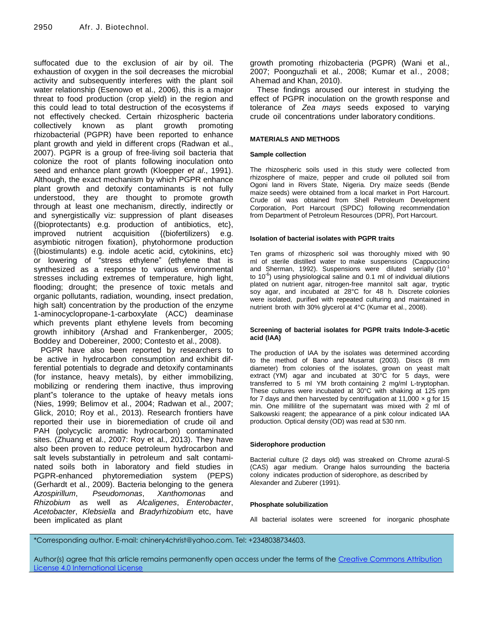suffocated due to the exclusion of air by oil. The exhaustion of oxygen in the soil decreases the microbial activity and subsequently interferes with the plant soil water relationship (Esenowo et al., 2006), this is a major threat to food production (crop yield) in the region and this could lead to total destruction of the ecosystems if not effectively checked. Certain rhizospheric bacteria collectively known as plant growth promoting rhizobacterial (PGPR) have been reported to enhance plant growth and yield in different crops (Radwan et al., 2007). PGPR is a group of free-living soil bacteria that colonize the root of plants following inoculation onto seed and enhance plant growth (Kloepper *et al*., 1991). Although, the exact mechanism by which PGPR enhance plant growth and detoxify contaminants is not fully understood, they are thought to promote growth through at least one mechanism, directly, indirectly or and synergistically viz: suppression of plant diseases {(bioprotectants) e.g. production of antibiotics, etc}, improved nutrient acquisition {(biofertilizers) e.g. asymbiotic nitrogen fixation}, phytohormone production {(biostimulants) e.g. indole acetic acid, cytokinins, etc} or lowering of "stress ethylene" (ethylene that is synthesized as a response to various environmental stresses including extremes of temperature, high light, flooding; drought; the presence of toxic metals and organic pollutants, radiation, wounding, insect predation, high salt) concentration by the production of the enzyme 1-aminocyclopropane-1-carboxylate (ACC) deaminase which prevents plant ethylene levels from becoming growth inhibitory (Arshad and Frankenberger, 2005; Boddey and Dobereiner, 2000; Contesto et al., 2008).

PGPR have also been reported by researchers to be active in hydrocarbon consumption and exhibit differential potentials to degrade and detoxify contaminants (for instance, heavy metals), by either immobilizing, mobilizing or rendering them inactive, thus improving plant"s tolerance to the uptake of heavy metals ions (Nies, 1999; Belimov et al., 2004; Radwan et al., 2007; Glick, 2010; Roy et al., 2013). Research frontiers have reported their use in bioremediation of crude oil and PAH (polycyclic aromatic hydrocarbon) contaminated sites. (Zhuang et al., 2007: Roy et al., 2013). They have also been proven to reduce petroleum hydrocarbon and salt levels substantially in petroleum and salt contaminated soils both in laboratory and field studies in PGPR-enhanced phytoremediation system (PEPS) (Gerhardt et al., 2009). Bacteria belonging to the genera *Azospirillum*, *Pseudomonas*, *Xanthomonas* and *Rhizobium* as well as *Alcaligenes*, *Enterobacter*, *Acetobacter*, *Klebsiella* and *Bradyrhizobium* etc, have been implicated as plant

growth promoting rhizobacteria (PGPR) (Wani et al., 2007; [Poonguzhali](http://insightknowledge.co.uk/fulltext/?doi=IMICRO-IK.2011.39.54) et al., 2008; [Kumar](http://insightknowledge.co.uk/fulltext/?doi=IMICRO-IK.2011.39.54) et [al., 2008;](http://insightknowledge.co.uk/fulltext/?doi=IMICRO-IK.2011.39.54) Ahemad and Khan, 2010).

These findings aroused our interest in studying the effect of PGPR inoculation on the growth response and tolerance of *Zea mays* seeds exposed to varying crude oil concentrations under laboratory conditions.

# **MATERIALS AND METHODS**

#### **Sample collection**

The rhizospheric soils used in this study were collected from rhizosphere of maize, pepper and crude oil polluted soil from Ogoni land in Rivers State, Nigeria. Dry maize seeds (Bende maize seeds) were obtained from a local market in Port Harcourt. Crude oil was obtained from Shell Petroleum Development Corporation, Port Harcourt (SPDC) following recommendation from Department of Petroleum Resources (DPR), Port Harcourt.

#### **Isolation of bacterial isolates with PGPR traits**

Ten grams of rhizospheric soil was thoroughly mixed with 90 ml of sterile distilled water to make suspensions (Cappuccino and Sherman, 1992). Suspensions were diluted serially (10 $1$ to 10<sup>-6</sup>) using physiological saline and 0.1 ml of individual dilutions plated on nutrient agar, nitrogen-free mannitol salt agar, tryptic soy agar, and incubated at 28°C for 48 h. Discrete colonies were isolated, purified with repeated culturing and maintained in nutrient broth with 30% glycerol at 4°C (Kumar et al., 2008).

#### **Screening of bacterial isolates for PGPR traits Indole-3-acetic acid (IAA)**

The production of IAA by the isolates was determined according to the method of Bano and Musarrat (2003). Discs (8 mm diameter) from colonies of the isolates, grown on yeast malt extract (YM) agar and incubated at 30°C for 5 days, were transferred to 5 ml YM broth containing 2 mg/ml L-tryptophan. These cultures were incubated at 30°C with shaking at 125 rpm for 7 days and then harvested by centrifugation at 11,000  $\times$  g for 15 min. One millilitre of the supernatant was mixed with 2 ml of Salkowski reagent; the appearance of a pink colour indicated IAA production. Optical density (OD) was read at 530 nm.

#### **Siderophore production**

Bacterial culture (2 days old) was streaked on Chrome azural-S (CAS) agar medium. Orange halos surrounding the bacteria colony indicates production of siderophore, as described by Alexander and Zuberer (1991).

#### **Phosphate solubilization**

All bacterial isolates were screened for inorganic phosphate

<sup>\*</sup>Corresponding author. E-mail: chinery4christ@yahoo.com. Tel: +2348038734603.

Author(s) agree that this article remains permanently open access under the terms of the [Creative Commons Attribution](http://creativecommons.org/licenses/by/4.0/deed.en_US)  [License 4.0 International License](http://creativecommons.org/licenses/by/4.0/deed.en_US)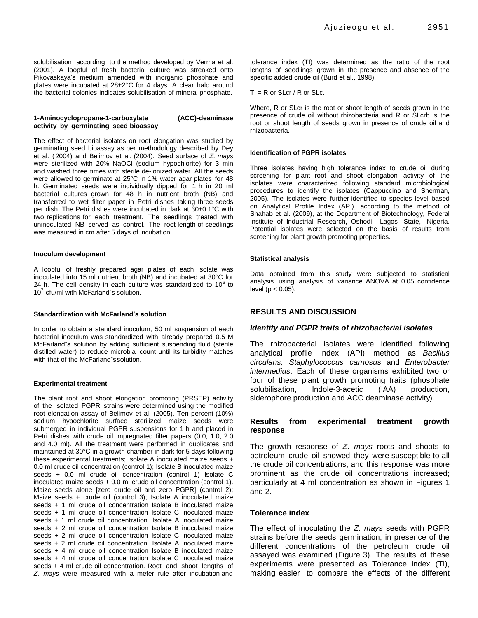solubilisation according to the method developed by Verma et al. (2001). A loopful of fresh bacterial culture was streaked onto Pikovaskaya's medium amended with inorganic phosphate and plates were incubated at 28±2°C for 4 days. A clear halo around the bacterial colonies indicates solubilisation of mineral phosphate.

#### **1-Aminocyclopropane-1-carboxylate (ACC)-deaminase activity by germinating seed bioassay**

The effect of bacterial isolates on root elongation was studied by germinating seed bioassay as per methodology described by Dey et al. ( 2004) and Belimov et al. (2004). Seed surface of *Z. mays* were sterilized with 20% NaOCl (sodium hypochlorite) for 3 min and washed three times with sterile de-ionized water. All the seeds were allowed to germinate at 25°C in 1% water agar plates for 48 h. Germinated seeds were individually dipped for 1 h in 20 ml bacterial cultures grown for 48 h in nutrient broth (NB) and transferred to wet filter paper in Petri dishes taking three seeds per dish. The Petri dishes were incubated in dark at 30±0.1°C with two replications for each treatment. The seedlings treated with uninoculated NB served as control. The root length of seedlings was measured in cm after 5 days of incubation.

#### **Inoculum development**

A loopful of freshly prepared agar plates of each isolate was inoculated into 15 ml nutrient broth (NB) and incubated at 30°C for 24 h. The cell density in each culture was standardized to 10 $6$  to 10<sup>7</sup> cfu/ml with McFarland"s solution.

#### **Standardization with McFarland's solution**

In order to obtain a standard inoculum, 50 ml suspension of each bacterial inoculum was standardized with already prepared 0.5 M McFarland"s solution by adding sufficient suspending fluid (sterile distilled water) to reduce microbial count until its turbidity matches with that of the McFarland"s solution.

#### **Experimental treatment**

The plant root and shoot elongation promoting (PRSEP) activity of the isolated PGPR strains were determined using the modified root elongation assay of Belimov et al. (2005). Ten percent (10%) sodium hypochlorite surface sterilized maize seeds were submerged in individual PGPR suspensions for 1 h and placed in Petri dishes with crude oil impregnated filter papers (0.0, 1.0, 2.0 and 4.0 ml). All the treatment were performed in duplicates and maintained at 30°C in a growth chamber in dark for 5 days following these experimental treatments; Isolate A inoculated maize seeds + 0.0 ml crude oil concentration (control 1); Isolate B inoculated maize seeds + 0.0 ml crude oil concentration (control 1) Isolate C inoculated maize seeds + 0.0 ml crude oil concentration (control 1). Maize seeds alone [zero crude oil and zero PGPR] (control 2); Maize seeds + crude oil (control 3); Isolate A inoculated maize seeds + 1 ml crude oil concentration Isolate B inoculated maize seeds + 1 ml crude oil concentration Isolate C inoculated maize seeds + 1 ml crude oil concentration. Isolate A inoculated maize seeds + 2 ml crude oil concentration Isolate B inoculated maize seeds + 2 ml crude oil concentration Isolate C inoculated maize seeds + 2 ml crude oil concentration. Isolate A inoculated maize seeds + 4 ml crude oil concentration Isolate B inoculated maize seeds + 4 ml crude oil concentration Isolate C inoculated maize seeds + 4 ml crude oil concentration. Root and shoot lengths of *Z. mays* were measured with a meter rule after incubation and

tolerance index (TI) was determined as the ratio of the root lengths of seedlings grown in the presence and absence of the specific added crude oil (Burd et al., 1998).

#### $TI = R$  or  $SLcr / R$  or  $SLc$ .

Where, R or SLcr is the root or shoot length of seeds grown in the presence of crude oil without rhizobacteria and R or SLcrb is the root or shoot length of seeds grown in presence of crude oil and rhizobacteria.

#### **Identification of PGPR isolates**

Three isolates having high tolerance index to crude oil during screening for plant root and shoot elongation activity of the isolates were characterized following standard microbiological procedures to identify the isolates (Cappuccino and Sherman, 2005). The isolates were further identified to species level based on Analytical Profile Index (API), according to the method of Shahab et al. (2009), at the Department of Biotechnology, Federal Institute of Industrial Research, Oshodi, Lagos State, Nigeria. Potential isolates were selected on the basis of results from screening for plant growth promoting properties.

#### **Statistical analysis**

Data obtained from this study were subjected to statistical analysis using analysis of variance ANOVA at 0.05 confidence level ( $p < 0.05$ ).

# **RESULTS AND DISCUSSION**

#### *Identity and PGPR traits of rhizobacterial isolates*

The rhizobacterial isolates were identified following analytical profile index (API) method as *Bacillus circulans, Staphylococcus carnosus* and *Enterobacter intermedius*. Each of these organisms exhibited two or four of these plant growth promoting traits (phosphate solubilisation, Indole-3-acetic (IAA) production, siderophore production and ACC deaminase activity).

# **Results from experimental treatment growth response**

The growth response of *Z. mays* roots and shoots to petroleum crude oil showed they were susceptible to all the crude oil concentrations, and this response was more prominent as the crude oil concentrations increased; particularly at 4 ml concentration as shown in Figures 1 and 2.

# **Tolerance index**

The effect of inoculating the *Z. mays* seeds with PGPR strains before the seeds germination, in presence of the different concentrations of the petroleum crude oil assayed was examined (Figure 3). The results of these experiments were presented as Tolerance index (TI), making easier to compare the effects of the different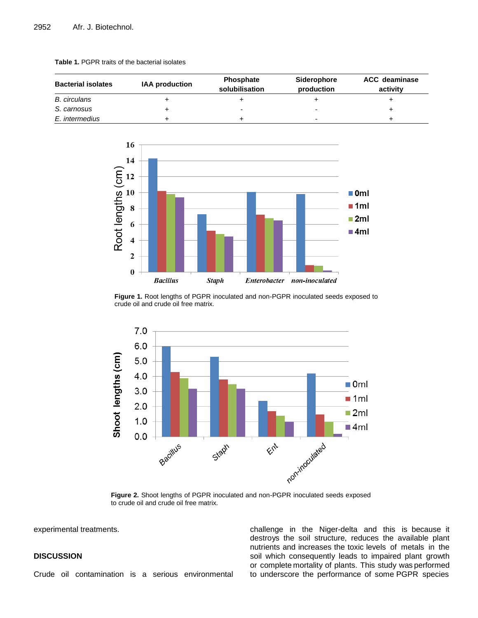| <b>Bacterial isolates</b> | <b>IAA production</b> | Phosphate<br>solubilisation | Siderophore<br>production | <b>ACC</b> deaminase<br>activity |
|---------------------------|-----------------------|-----------------------------|---------------------------|----------------------------------|
| B. circulans              |                       |                             |                           |                                  |
| S. carnosus               |                       | $\overline{\phantom{0}}$    | $\overline{\phantom{0}}$  |                                  |
| E. intermedius            |                       |                             | -                         |                                  |





**Figure 1.** Root lengths of PGPR inoculated and non-PGPR inoculated seeds exposed to crude oil and crude oil free matrix.



**Figure 2.** Shoot lengths of PGPR inoculated and non-PGPR inoculated seeds exposed to crude oil and crude oil free matrix.

experimental treatments.

# **DISCUSSION**

Crude oil contamination is a serious environmental

challenge in the Niger-delta and this is because it destroys the soil structure, reduces the available plant nutrients and increases the toxic levels of metals in the soil which consequently leads to impaired plant growth or complete mortality of plants. This study was performed to underscore the performance of some PGPR species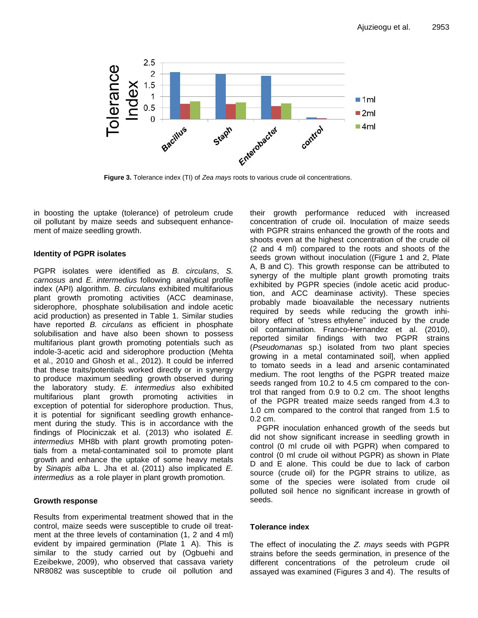

**Figure 3.** Tolerance index (TI) of *Zea mays* roots to various crude oil concentrations.

in boosting the uptake (tolerance) of petroleum crude oil pollutant by maize seeds and subsequent enhancement of maize seedling growth.

# **Identity of PGPR isolates**

PGPR isolates were identified as *B. circulans*, *S. carnosus* and *E. intermedius* following analytical profile index (API) algorithm. *B. circulans* exhibited multifarious plant growth promoting activities (ACC deaminase, siderophore, phosphate solubilisation and indole acetic acid production) as presented in Table 1. Similar studies have reported *B. circulans* as efficient in phosphate solubilisation and have also been shown to possess multifarious plant growth promoting potentials such as indole-3-acetic acid and siderophore production (Mehta et al., 2010 and Ghosh et al., 2012). It could be inferred that these traits/potentials worked directly or in synergy to produce maximum seedling growth observed during the laboratory study. *E. intermedius* also exhibited multifarious plant growth promoting activities in exception of potential for siderophore production. Thus, it is potential for significant seedling growth enhancement during the study. This is in accordance with the findings of Plociniczak et al. (2013) who isolated *E. intermedius* MH8b with plant growth promoting potentials from a metal-contaminated soil to promote plant growth and enhance the uptake of some heavy metals by *Sinapis alba* L. Jha et al. (2011) also implicated *E. intermedius* as a role player in plant growth promotion.

# **Growth response**

Results from experimental treatment showed that in the control, maize seeds were susceptible to crude oil treatment at the three levels of contamination (1, 2 and 4 ml) evident by impaired germination (Plate 1 A). This is similar to the study carried out by (Ogbuehi and Ezeibekwe, 2009), who observed that cassava variety NR8082 was susceptible to crude oil pollution and their growth performance reduced with increased concentration of crude oil. Inoculation of maize seeds with PGPR strains enhanced the growth of the roots and shoots even at the highest concentration of the crude oil (2 and 4 ml) compared to the roots and shoots of the seeds grown without inoculation ((Figure 1 and 2, Plate A, B and C). This growth response can be attributed to synergy of the multiple plant growth promoting traits exhibited by PGPR species (indole acetic acid production, and ACC deaminase activity). These species probably made bioavailable the necessary nutrients required by seeds while reducing the growth inhibitory effect of "stress ethylene" induced by the crude oil contamination. Franco-Hernandez et al. (2010), reported similar findings with two PGPR strains (*Pseudomanas* sp.) isolated from two plant species growing in a metal contaminated soil], when applied to tomato seeds in a lead and arsenic contaminated medium. The root lengths of the PGPR treated maize seeds ranged from 10.2 to 4.5 cm compared to the control that ranged from 0.9 to 0.2 cm. The shoot lengths of the PGPR treated maize seeds ranged from 4.3 to 1.0 cm compared to the control that ranged from 1.5 to 0.2 cm.

PGPR inoculation enhanced growth of the seeds but did not show significant increase in seedling growth in control (0 ml crude oil with PGPR) when compared to control (0 ml crude oil without PGPR) as shown in Plate D and E alone. This could be due to lack of carbon source (crude oil) for the PGPR strains to utilize, as some of the species were isolated from crude oil polluted soil hence no significant increase in growth of seeds.

# **Tolerance index**

The effect of inoculating the *Z. mays* seeds with PGPR strains before the seeds germination, in presence of the different concentrations of the petroleum crude oil assayed was examined (Figures 3 and 4). The results of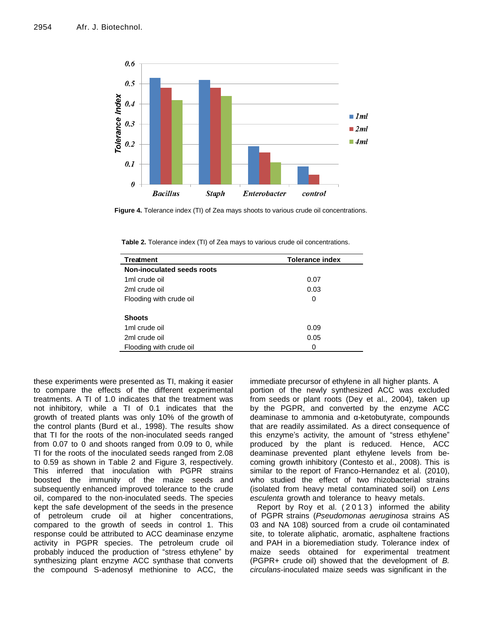

**Figure 4.** Tolerance index (TI) of Zea mays shoots to various crude oil concentrations.

**Table 2.** Tolerance index (TI) of Zea mays to various crude oil concentrations.

| <b>Treatment</b>           | <b>Tolerance index</b> |  |
|----------------------------|------------------------|--|
| Non-inoculated seeds roots |                        |  |
| 1 <sub>ml</sub> crude oil  | 0.07                   |  |
| 2ml crude oil              | 0.03                   |  |
| Flooding with crude oil    | 0                      |  |
|                            |                        |  |
| <b>Shoots</b>              |                        |  |
| 1ml crude oil              | 0.09                   |  |
| 2ml crude oil              | 0.05                   |  |
| Flooding with crude oil    | 0                      |  |

these experiments were presented as TI, making it easier to compare the effects of the different experimental treatments. A TI of 1.0 indicates that the treatment was not inhibitory, while a TI of 0.1 indicates that the growth of treated plants was only 10% of the growth of the control plants (Burd et al., 1998). The results show that TI for the roots of the non-inoculated seeds ranged from 0.07 to 0 and shoots ranged from 0.09 to 0, while TI for the roots of the inoculated seeds ranged from 2.08 to 0.59 as shown in Table 2 and Figure 3, respectively. This inferred that inoculation with PGPR strains boosted the immunity of the maize seeds and subsequently enhanced improved tolerance to the crude oil, compared to the non-inoculated seeds. The species kept the safe development of the seeds in the presence of petroleum crude oil at higher concentrations, compared to the growth of seeds in control 1. This response could be attributed to ACC deaminase enzyme activity in PGPR species. The petroleum crude oil probably induced the production of "stress ethylene" by synthesizing plant enzyme ACC synthase that converts the compound S-adenosyl methionine to ACC, the

immediate precursor of ethylene in all higher plants. A portion of the newly synthesized ACC was excluded from seeds or plant roots (Dey et al., 2004), taken up by the PGPR, and converted by the enzyme ACC deaminase to ammonia and α-ketobutyrate, compounds that are readily assimilated. As a direct consequence of this enzyme's activity, the amount of "stress ethylene" produced by the plant is reduced. Hence, ACC deaminase prevented plant ethylene levels from becoming growth inhibitory (Contesto et al., 2008). This is similar to the report of Franco-Hernandez et al. (2010), who studied the effect of two rhizobacterial strains (isolated from heavy metal contaminated soil) on *Lens esculenta* growth and tolerance to heavy metals.

Report by Roy et al. (2013) informed the ability of PGPR strains (*Pseudomonas aeruginosa* strains AS 03 and NA 108) sourced from a crude oil contaminated site, to tolerate aliphatic, aromatic, asphaltene fractions and PAH in a bioremediation study. Tolerance index of maize seeds obtained for experimental treatment (PGPR+ crude oil) showed that the development of *B. circulans*-inoculated maize seeds was significant in the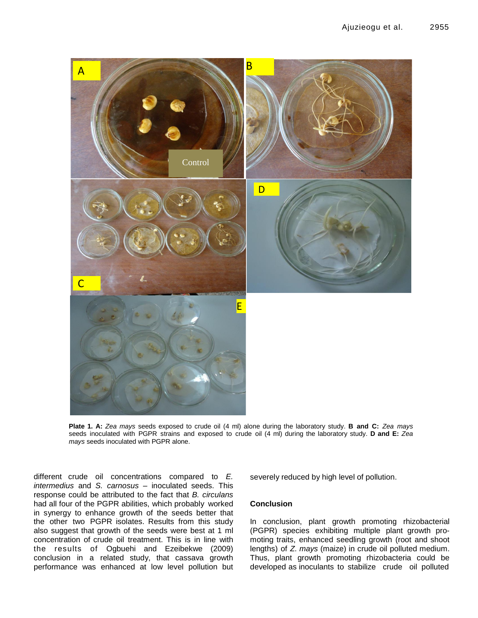

**Plate 1. A:** *Zea mays* seeds exposed to crude oil (4 ml) alone during the laboratory study. **B and C:** *Zea mays* seeds inoculated with PGPR strains and exposed to crude oil (4 ml) during the laboratory study. **D and E:** *Zea mays* seeds inoculated with PGPR alone.

different crude oil concentrations compared to *E. intermedius* and *S. carnosus* – inoculated seeds. This response could be attributed to the fact that *B. circulans* had all four of the PGPR abilities, which probably worked in synergy to enhance growth of the seeds better that the other two PGPR isolates. Results from this study also suggest that growth of the seeds were best at 1 ml concentration of crude oil treatment. This is in line with the results of Ogbuehi and Ezeibekwe (2009) conclusion in a related study, that cassava growth performance was enhanced at low level pollution but

severely reduced by high level of pollution.

# **Conclusion**

In conclusion, plant growth promoting rhizobacterial (PGPR) species exhibiting multiple plant growth promoting traits, enhanced seedling growth (root and shoot lengths) of *Z. mays* (maize) in crude oil polluted medium. Thus, plant growth promoting rhizobacteria could be